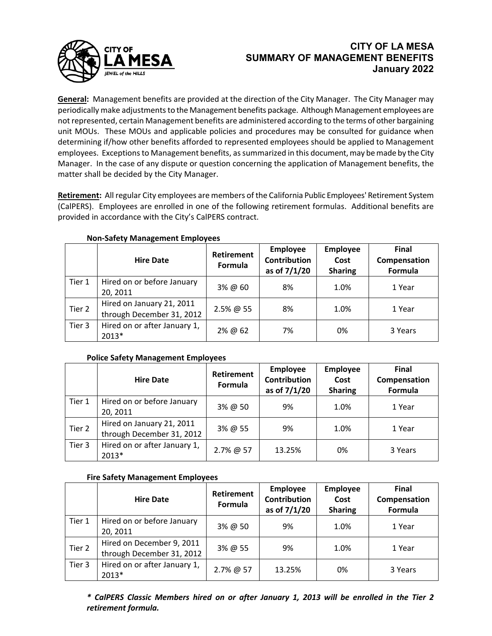

# **CITY OF LA MESA SUMMARY OF MANAGEMENT BENEFITS January 2022**

**General:** Management benefits are provided at the direction of the City Manager. The City Manager may periodically make adjustments to the Management benefits package. Although Management employees are not represented, certain Management benefits are administered according to the terms of other bargaining unit MOUs. These MOUs and applicable policies and procedures may be consulted for guidance when determining if/how other benefits afforded to represented employees should be applied to Management employees. Exceptions to Management benefits, as summarized in this document, may be made by the City Manager. In the case of any dispute or question concerning the application of Management benefits, the matter shall be decided by the City Manager.

**Retirement:** All regular City employees are members of the California Public Employees' Retirement System (CalPERS). Employees are enrolled in one of the following retirement formulas. Additional benefits are provided in accordance with the City's CalPERS contract.

|        | <b>Hire Date</b>                                       | <b>Retirement</b><br>Formula | <b>Employee</b><br><b>Contribution</b><br>as of 7/1/20 | <b>Employee</b><br>Cost<br><b>Sharing</b> | <b>Final</b><br>Compensation<br>Formula |
|--------|--------------------------------------------------------|------------------------------|--------------------------------------------------------|-------------------------------------------|-----------------------------------------|
| Tier 1 | Hired on or before January<br>20, 2011                 | 3% @ 60                      | 8%                                                     | 1.0%                                      | 1 Year                                  |
| Tier 2 | Hired on January 21, 2011<br>through December 31, 2012 | $2.5\%$ @ 55                 | 8%                                                     | 1.0%                                      | 1 Year                                  |
| Tier 3 | Hired on or after January 1,<br>2013*                  | 2% @ 62                      | 7%                                                     | 0%                                        | 3 Years                                 |

## **Non-Safety Management Employees**

## **Police Safety Management Employees**

|        | <b>Hire Date</b>                                       | Retirement<br>Formula | Employee<br><b>Contribution</b><br>as of 7/1/20 | <b>Employee</b><br>Cost<br><b>Sharing</b> | <b>Final</b><br>Compensation<br>Formula |
|--------|--------------------------------------------------------|-----------------------|-------------------------------------------------|-------------------------------------------|-----------------------------------------|
| Tier 1 | Hired on or before January<br>20, 2011                 | 3% @ 50               | 9%                                              | 1.0%                                      | 1 Year                                  |
| Tier 2 | Hired on January 21, 2011<br>through December 31, 2012 | 3% @ 55               | 9%                                              | 1.0%                                      | 1 Year                                  |
| Tier 3 | Hired on or after January 1,<br>2013*                  | 2.7% @ 57             | 13.25%                                          | 0%                                        | 3 Years                                 |

## **Fire Safety Management Employees**

|        | <b>Hire Date</b>                                       | Retirement<br>Formula | Employee<br><b>Contribution</b><br>as of 7/1/20 | <b>Employee</b><br>Cost<br><b>Sharing</b> | <b>Final</b><br>Compensation<br>Formula |
|--------|--------------------------------------------------------|-----------------------|-------------------------------------------------|-------------------------------------------|-----------------------------------------|
| Tier 1 | Hired on or before January<br>20, 2011                 | 3% @ 50               | 9%                                              | 1.0%                                      | 1 Year                                  |
| Tier 2 | Hired on December 9, 2011<br>through December 31, 2012 | 3% @ 55               | 9%                                              | 1.0%                                      | 1 Year                                  |
| Tier 3 | Hired on or after January 1,<br>2013*                  | 2.7% @ 57             | 13.25%                                          | 0%                                        | 3 Years                                 |

*\* CalPERS Classic Members hired on or after January 1, 2013 will be enrolled in the Tier 2 retirement formula.*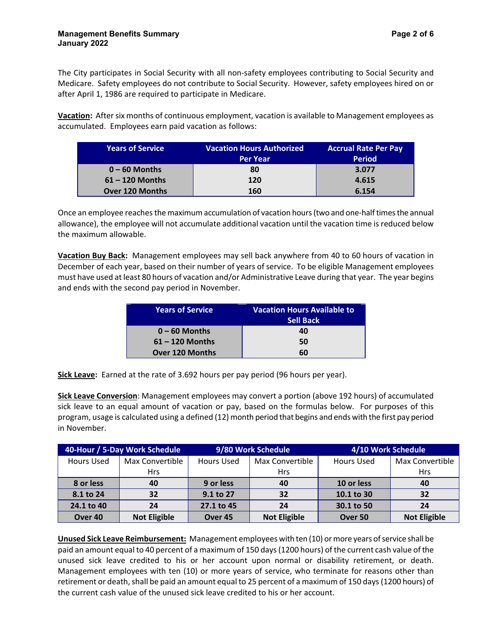The City participates in Social Security with all non-safety employees contributing to Social Security and Medicare. Safety employees do not contribute to Social Security. However, safety employees hired on or after April 1, 1986 are required to participate in Medicare.

**Vacation:** After six months of continuous employment, vacation is available to Management employees as accumulated. Employees earn paid vacation as follows:

| <b>Years of Service</b> | <b>Vacation Hours Authorized</b> | <b>Accrual Rate Per Pay</b> |
|-------------------------|----------------------------------|-----------------------------|
|                         | <b>Per Year</b>                  | <b>Period</b>               |
| $0 - 60$ Months         | 80                               | 3.077                       |
| $61 - 120$ Months       | 120                              | 4.615                       |
| <b>Over 120 Months</b>  | 160                              | 6.154                       |

Once an employee reaches the maximum accumulation of vacation hours (two and one-half times the annual allowance), the employee will not accumulate additional vacation until the vacation time is reduced below the maximum allowable.

**Vacation Buy Back:** Management employees may sell back anywhere from 40 to 60 hours of vacation in December of each year, based on their number of years of service. To be eligible Management employees must have used at least 80 hours of vacation and/or Administrative Leave during that year. The year begins and ends with the second pay period in November.

| <b>Years of Service</b> | <b>Vacation Hours Available to</b> |
|-------------------------|------------------------------------|
|                         | <b>Sell Back</b>                   |
| $0 - 60$ Months         | 40                                 |
| $61 - 120$ Months       | 50                                 |
| <b>Over 120 Months</b>  | 60                                 |

**Sick Leave:** Earned at the rate of 3.692 hours per pay period (96 hours per year).

**Sick Leave Conversion**: Management employees may convert a portion (above 192 hours) of accumulated sick leave to an equal amount of vacation or pay, based on the formulas below. For purposes of this program, usage is calculated using a defined (12) month period that begins and ends with the first pay period in November.

| 40-Hour / 5-Day Work Schedule |                     | 9/80 Work Schedule |                     | 4/10 Work Schedule |                     |
|-------------------------------|---------------------|--------------------|---------------------|--------------------|---------------------|
| <b>Hours Used</b>             | Max Convertible     | <b>Hours Used</b>  | Max Convertible     | Hours Used         | Max Convertible     |
|                               | <b>Hrs</b>          |                    | <b>Hrs</b>          |                    | <b>Hrs</b>          |
| 8 or less                     | 40                  | 9 or less          | 40                  | 10 or less         | 40                  |
| 8.1 to 24                     | 32                  | 9.1 to 27          | 32                  | 10.1 to 30         | 32                  |
| 24.1 to 40                    | 24                  | 27.1 to 45         | 24                  | 30.1 to 50         | 24                  |
| Over <sub>40</sub>            | <b>Not Eligible</b> | Over <sub>45</sub> | <b>Not Eligible</b> | Over <sub>50</sub> | <b>Not Eligible</b> |

**Unused Sick Leave Reimbursement:** Management employees with ten (10) or more years of service shall be paid an amount equal to 40 percent of a maximum of 150 days (1200 hours) of the current cash value of the unused sick leave credited to his or her account upon normal or disability retirement, or death. Management employees with ten (10) or more years of service, who terminate for reasons other than retirement or death, shall be paid an amount equal to 25 percent of a maximum of 150 days (1200 hours) of the current cash value of the unused sick leave credited to his or her account.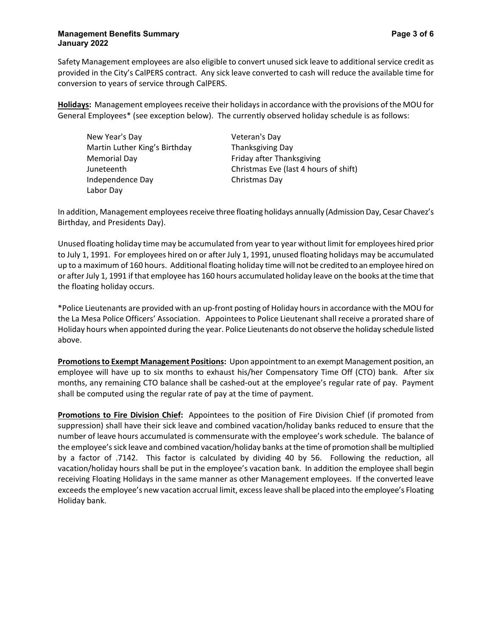## **Management Benefits Summary Page 3** of 6 **January 2022**

Safety Management employees are also eligible to convert unused sick leave to additional service credit as provided in the City's CalPERS contract. Any sick leave converted to cash will reduce the available time for conversion to years of service through CalPERS.

**Holidays:** Management employees receive their holidays in accordance with the provisions of the MOU for General Employees\* (see exception below). The currently observed holiday schedule is as follows:

New Year's Day Veteran's Day Martin Luther King's Birthday Thanksgiving Day Memorial Day **Friday** after Thanksgiving Independence Day Christmas Day Labor Day

Juneteenth Christmas Eve (last 4 hours of shift)

In addition, Management employees receive three floating holidays annually (Admission Day, Cesar Chavez's Birthday, and Presidents Day).

Unused floating holiday time may be accumulated from year to year without limit for employees hired prior to July 1, 1991. For employees hired on or after July 1, 1991, unused floating holidays may be accumulated up to a maximum of 160 hours. Additional floating holiday time will not be credited to an employee hired on or after July 1, 1991 if that employee has 160 hours accumulated holiday leave on the books at the time that the floating holiday occurs.

\*Police Lieutenants are provided with an up-front posting of Holiday hours in accordance with the MOU for the La Mesa Police Officers' Association. Appointees to Police Lieutenant shall receive a prorated share of Holiday hours when appointed during the year. Police Lieutenants do not observe the holiday schedule listed above.

**Promotions to Exempt Management Positions:** Upon appointment to an exempt Management position, an employee will have up to six months to exhaust his/her Compensatory Time Off (CTO) bank. After six months, any remaining CTO balance shall be cashed-out at the employee's regular rate of pay. Payment shall be computed using the regular rate of pay at the time of payment.

**Promotions to Fire Division Chief:** Appointees to the position of Fire Division Chief (if promoted from suppression) shall have their sick leave and combined vacation/holiday banks reduced to ensure that the number of leave hours accumulated is commensurate with the employee's work schedule. The balance of the employee's sick leave and combined vacation/holiday banks at the time of promotion shall be multiplied by a factor of .7142. This factor is calculated by dividing 40 by 56. Following the reduction, all vacation/holiday hours shall be put in the employee's vacation bank. In addition the employee shall begin receiving Floating Holidays in the same manner as other Management employees. If the converted leave exceeds the employee's new vacation accrual limit, excess leave shall be placed into the employee's Floating Holiday bank.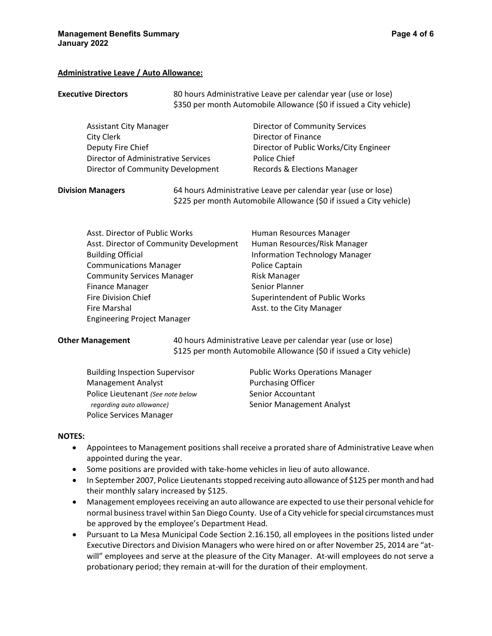### **Administrative Leave / Auto Allowance:**

| <b>Executive Directors</b>          | 80 hours Administrative Leave per calendar year (use or lose)<br>\$350 per month Automobile Allowance (\$0 if issued a City vehicle) |
|-------------------------------------|--------------------------------------------------------------------------------------------------------------------------------------|
| <b>Assistant City Manager</b>       | Director of Community Services                                                                                                       |
| City Clerk                          | Director of Finance                                                                                                                  |
| Deputy Fire Chief                   | Director of Public Works/City Engineer                                                                                               |
| Director of Administrative Services | Police Chief                                                                                                                         |
| Director of Community Development   | Records & Elections Manager                                                                                                          |
| <b>Division Managers</b>            | 64 hours Administrative Leave per calendar year (use or lose)<br>\$225 per month Automobile Allowance (\$0 if issued a City vehicle) |

| Asst. Director of Public Works          | Human Resources Manager               |
|-----------------------------------------|---------------------------------------|
| Asst. Director of Community Development | Human Resources/Risk Manager          |
| <b>Building Official</b>                | <b>Information Technology Manager</b> |
| <b>Communications Manager</b>           | Police Captain                        |
| <b>Community Services Manager</b>       | <b>Risk Manager</b>                   |
| <b>Finance Manager</b>                  | Senior Planner                        |
| Fire Division Chief                     | Superintendent of Public Works        |
| Fire Marshal                            | Asst. to the City Manager             |
| <b>Engineering Project Manager</b>      |                                       |

**Other Management** 40 hours Administrative Leave per calendar year (use or lose) \$125 per month Automobile Allowance (\$0 if issued a City vehicle)

Management Analyst **Purchasing Officer** Police Lieutenant *(See note below* Senior Accountant *regarding auto allowance*) and Senior Management Analyst Police Services Manager

Building Inspection Supervisor Public Works Operations Manager

#### **NOTES:**

- Appointees to Management positions shall receive a prorated share of Administrative Leave when appointed during the year.
- Some positions are provided with take-home vehicles in lieu of auto allowance.
- In September 2007, Police Lieutenants stopped receiving auto allowance of \$125 per month and had their monthly salary increased by \$125.
- Management employees receiving an auto allowance are expected to use their personal vehicle for normal business travel within San Diego County. Use of a City vehicle for special circumstances must be approved by the employee's Department Head.
- Pursuant to La Mesa Municipal Code Section 2.16.150, all employees in the positions listed under Executive Directors and Division Managers who were hired on or after November 25, 2014 are "atwill" employees and serve at the pleasure of the City Manager. At-will employees do not serve a probationary period; they remain at-will for the duration of their employment.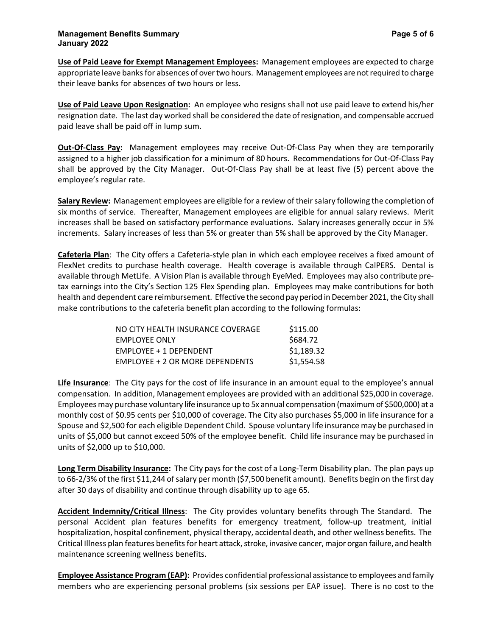**Use of Paid Leave for Exempt Management Employees:** Management employees are expected to charge appropriate leave banks for absences of over two hours. Management employees are not required to charge their leave banks for absences of two hours or less.

**Use of Paid Leave Upon Resignation:** An employee who resigns shall not use paid leave to extend his/her resignation date. The last day worked shall be considered the date of resignation, and compensable accrued paid leave shall be paid off in lump sum.

**Out-Of-Class Pay:** Management employees may receive Out-Of-Class Pay when they are temporarily assigned to a higher job classification for a minimum of 80 hours. Recommendations for Out-Of-Class Pay shall be approved by the City Manager. Out-Of-Class Pay shall be at least five (5) percent above the employee's regular rate.

**Salary Review:** Management employees are eligible for a review of their salary following the completion of six months of service. Thereafter, Management employees are eligible for annual salary reviews. Merit increases shall be based on satisfactory performance evaluations. Salary increases generally occur in 5% increments. Salary increases of less than 5% or greater than 5% shall be approved by the City Manager.

**Cafeteria Plan**: The City offers a Cafeteria-style plan in which each employee receives a fixed amount of FlexNet credits to purchase health coverage. Health coverage is available through CalPERS. Dental is available through MetLife. A Vision Plan is available through EyeMed. Employees may also contribute pretax earnings into the City's Section 125 Flex Spending plan. Employees may make contributions for both health and dependent care reimbursement. Effective the second pay period in December 2021, the City shall make contributions to the cafeteria benefit plan according to the following formulas:

| NO CITY HEALTH INSURANCE COVERAGE  | \$115.00   |
|------------------------------------|------------|
| <b>EMPLOYEE ONLY</b>               | \$684.72   |
| EMPLOYEE + 1 DEPENDENT             | \$1,189.32 |
| $EMPI$ OYEE + 2 OR MORE DEPENDENTS | \$1,554.58 |

**Life Insurance**: The City pays for the cost of life insurance in an amount equal to the employee's annual compensation. In addition, Management employees are provided with an additional \$25,000 in coverage. Employees may purchase voluntary life insurance up to 5x annual compensation (maximum of \$500,000) at a monthly cost of \$0.95 cents per \$10,000 of coverage. The City also purchases \$5,000 in life insurance for a Spouse and \$2,500 for each eligible Dependent Child. Spouse voluntary life insurance may be purchased in units of \$5,000 but cannot exceed 50% of the employee benefit. Child life insurance may be purchased in units of \$2,000 up to \$10,000.

**Long Term Disability Insurance:** The City pays for the cost of a Long-Term Disability plan. The plan pays up to 66-2/3% of the first \$11,244 of salary per month (\$7,500 benefit amount). Benefits begin on the first day after 30 days of disability and continue through disability up to age 65.

**Accident Indemnity/Critical Illness**: The City provides voluntary benefits through The Standard. The personal Accident plan features benefits for emergency treatment, follow-up treatment, initial hospitalization, hospital confinement, physical therapy, accidental death, and other wellness benefits. The Critical Illness plan features benefits for heart attack, stroke, invasive cancer, major organ failure, and health maintenance screening wellness benefits.

**Employee Assistance Program (EAP):** Provides confidential professional assistance to employees and family members who are experiencing personal problems (six sessions per EAP issue). There is no cost to the